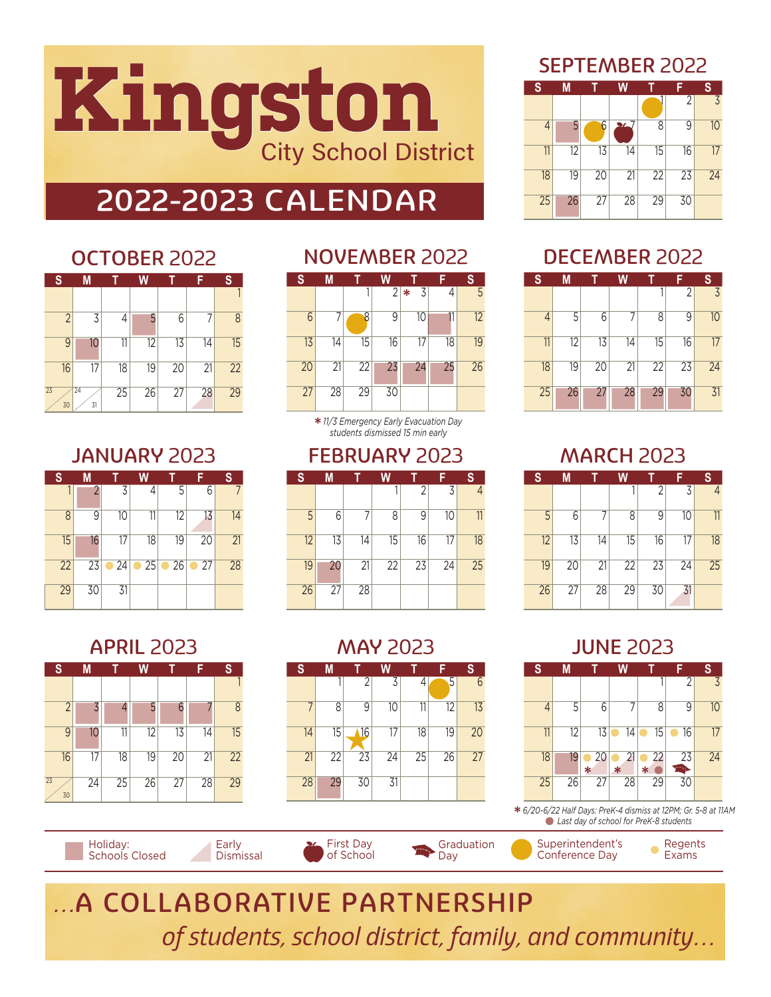

## 2022-2023 CALENDAR

## OCTOBER 2022

| S                     | M        |    | W  |                 |    | S  |
|-----------------------|----------|----|----|-----------------|----|----|
|                       |          |    |    |                 |    |    |
| $\overline{2}$        | 3        | 4  | 5  | 6               |    | 8  |
| 9                     | 10       | 11 | 12 | 13              | 14 | 15 |
| 16                    | 17       | 18 | 19 | 20              | 21 | 22 |
| $\overline{23}$<br>30 | 24<br>31 | 25 | 26 | $\overline{27}$ | 28 | 29 |

## JANUARY 2023

| S  | М  |              | W            |              | F            | S  |
|----|----|--------------|--------------|--------------|--------------|----|
|    | 2  | 3            | 4            | 5            | 6            | 7  |
| 8  | 9  | 10           | 11           | 12           | 13           | 14 |
| 15 | 16 | 17           | 18           | 19           | 20           | 21 |
| 22 | 23 | $\bullet$ 24 | $\bullet$ 25 | $\bullet$ 26 | $\bullet$ 27 | 28 |
| 29 | 30 | 31           |              |              |              |    |

## NOVEMBER 2022



\* *11/3 Emergency Early Evacuation Day students dismissed 15 min early*

### FEBRUARY 2023

| S  | M  |    | W  |                | F               | S               |
|----|----|----|----|----------------|-----------------|-----------------|
|    |    |    |    | $\overline{2}$ | 3               |                 |
| 5  | 6  |    | 8  | 9              | $\overline{10}$ | 11              |
| 12 | 13 | 14 | 15 | 16             | 17              | $\overline{18}$ |
| 19 | 20 | 21 | 22 | 23             | 24              | 25              |
| 26 | 27 | 28 |    |                |                 |                 |

## MAY 2023

| S  | M               |                | W               |    | F  | S  |
|----|-----------------|----------------|-----------------|----|----|----|
|    |                 | $\overline{2}$ | 3               | 4  | 5  | 6  |
| 7  | 8               | 9              | 10              | 11 | 12 | 13 |
| 14 | 15              | 16             | $\overline{17}$ | 18 | 19 | 20 |
| 21 | $\overline{22}$ | 23             | 24              | 25 | 26 | 27 |
| 28 | 29              | 30             | 31              |    |    |    |

## SEPTEMBER 2022

| S              | M  |                 | W               |                 |    | S              |
|----------------|----|-----------------|-----------------|-----------------|----|----------------|
|                |    |                 |                 |                 | 2  | $\overline{z}$ |
| $\overline{4}$ | 5  | 6               | $\sim$ 7        | 8               | 9  | 10             |
| 11             | 12 | 13              | 14              | 15              | 16 | 17             |
| 18             | 19 | $\overline{20}$ | $\overline{21}$ | $\overline{22}$ | 23 | 24             |
| 25             | 26 | 27              | 28              | 29              | 30 |                |

## DECEMBER 2022

| S              | M  |    | W               |                 | F              | S                       |
|----------------|----|----|-----------------|-----------------|----------------|-------------------------|
|                |    |    |                 |                 | $\overline{2}$ | $\overline{\mathbf{z}}$ |
| $\overline{4}$ | 5  | 6  | 7               | 8               | 9              | 10                      |
| 11             | 12 | 13 | 14              | 15              | 16             | 17                      |
| 18             | 19 | 20 | $\overline{21}$ | $\overline{22}$ | 23             | 24                      |
| 25             | 26 | 27 | 28              | 29              | 30             | 31                      |

## MARCH 2023

| <sub>S</sub> | M  |    | W               |    |    | S  |
|--------------|----|----|-----------------|----|----|----|
|              |    |    |                 | 2  | 3  | 4  |
| 5            | 6  | 7  | 8               | 9  | 10 | 11 |
| 12           | 13 | 14 | 15              | 16 | 17 | 18 |
| 19           | 20 | 21 | $\overline{22}$ | 23 | 24 | 25 |
| 26           | 27 | 28 | 29              | 30 | 31 |    |

## JUNE 2023



*Last day of school for PreK-8 students*

Superintendent's Conference Day

Regents Exams

 $\bullet$ 

…A COLLABORATIVE PARTNERSHIP of students, school district, family, and community…

Graduation Day

First Day of School

APRIL 2023

| S              | M  |    | W               |                 |                 | S               |
|----------------|----|----|-----------------|-----------------|-----------------|-----------------|
|                |    |    |                 |                 |                 |                 |
| $\overline{2}$ | 7  |    | 5               | 6               |                 | 8               |
| 9              | 10 | 11 | 12              | 13              | $\overline{14}$ | 15              |
| 16             | 17 | 18 | $\overline{19}$ | 20              | $\overline{21}$ | $\overline{22}$ |
| 23<br>30       | 24 | 25 | 26              | $\overline{27}$ | 28              | 29              |

Holiday: Schools Closed Early Dismissal